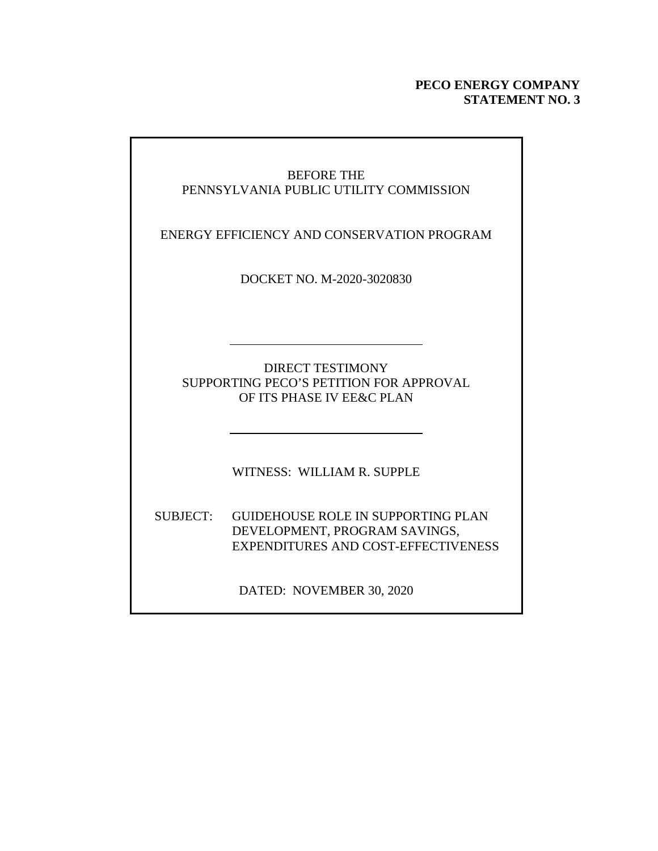### **PECO ENERGY COMPANY STATEMENT NO. 3**

| <b>BEFORE THE</b><br>PENNSYLVANIA PUBLIC UTILITY COMMISSION |                                                                                                                   |  |  |  |  |  |  |
|-------------------------------------------------------------|-------------------------------------------------------------------------------------------------------------------|--|--|--|--|--|--|
| ENERGY EFFICIENCY AND CONSERVATION PROGRAM                  |                                                                                                                   |  |  |  |  |  |  |
|                                                             | DOCKET NO. M-2020-3020830                                                                                         |  |  |  |  |  |  |
|                                                             |                                                                                                                   |  |  |  |  |  |  |
|                                                             | <b>DIRECT TESTIMONY</b><br>SUPPORTING PECO'S PETITION FOR APPROVAL<br>OF ITS PHASE IV EE&C PLAN                   |  |  |  |  |  |  |
|                                                             | WITNESS: WILLIAM R. SUPPLE                                                                                        |  |  |  |  |  |  |
| <b>SUBJECT:</b>                                             | <b>GUIDEHOUSE ROLE IN SUPPORTING PLAN</b><br>DEVELOPMENT, PROGRAM SAVINGS,<br>EXPENDITURES AND COST-EFFECTIVENESS |  |  |  |  |  |  |
|                                                             | DATED: NOVEMBER 30, 2020                                                                                          |  |  |  |  |  |  |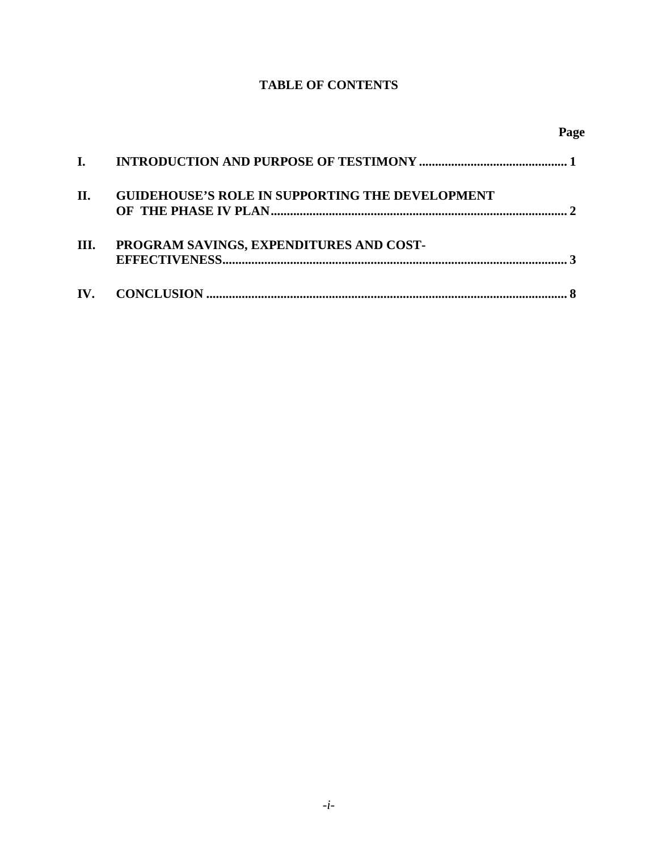### **TABLE OF CONTENTS**

**Page**

| П. | <b>GUIDEHOUSE'S ROLE IN SUPPORTING THE DEVELOPMENT</b> |
|----|--------------------------------------------------------|
| Ш. | PROGRAM SAVINGS, EXPENDITURES AND COST-                |
|    |                                                        |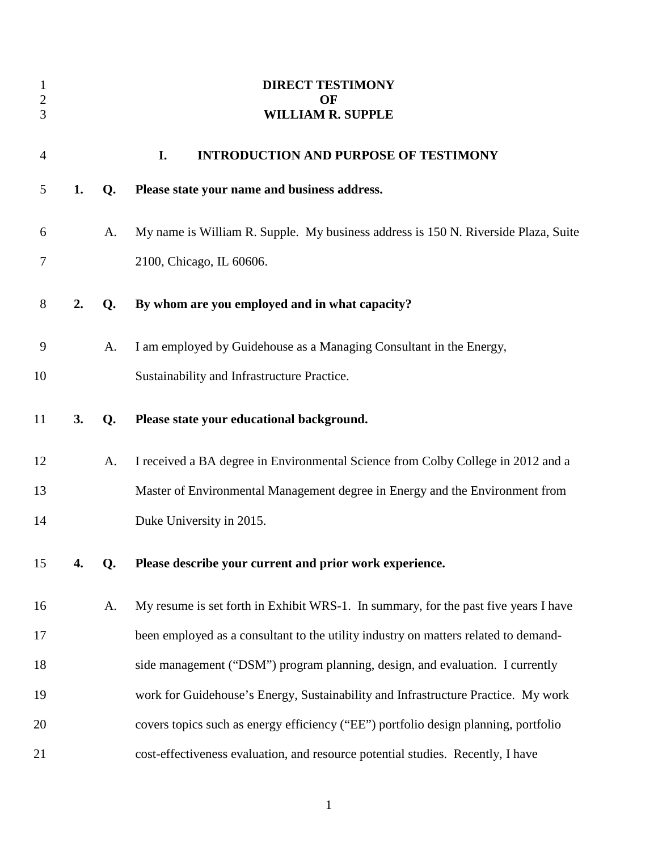| $\mathbf{1}$<br>$\mathbf{2}$<br>3 |    |    | <b>DIRECT TESTIMONY</b><br>OF<br><b>WILLIAM R. SUPPLE</b>                           |
|-----------------------------------|----|----|-------------------------------------------------------------------------------------|
| $\overline{4}$                    |    |    | I.<br><b>INTRODUCTION AND PURPOSE OF TESTIMONY</b>                                  |
| 5                                 | 1. | Q. | Please state your name and business address.                                        |
| 6                                 |    | A. | My name is William R. Supple. My business address is 150 N. Riverside Plaza, Suite  |
| 7                                 |    |    | 2100, Chicago, IL 60606.                                                            |
| $8\,$                             | 2. | Q. | By whom are you employed and in what capacity?                                      |
| 9                                 |    | A. | I am employed by Guidehouse as a Managing Consultant in the Energy,                 |
| 10                                |    |    | Sustainability and Infrastructure Practice.                                         |
| 11                                | 3. | Q. | Please state your educational background.                                           |
| 12                                |    | A. | I received a BA degree in Environmental Science from Colby College in 2012 and a    |
| 13                                |    |    | Master of Environmental Management degree in Energy and the Environment from        |
| 14                                |    |    | Duke University in 2015.                                                            |
| 15                                | 4. | Q. | Please describe your current and prior work experience.                             |
| 16                                |    | A. | My resume is set forth in Exhibit WRS-1. In summary, for the past five years I have |
| 17                                |    |    | been employed as a consultant to the utility industry on matters related to demand- |
| 18                                |    |    | side management ("DSM") program planning, design, and evaluation. I currently       |
| 19                                |    |    | work for Guidehouse's Energy, Sustainability and Infrastructure Practice. My work   |
| 20                                |    |    | covers topics such as energy efficiency ("EE") portfolio design planning, portfolio |
| 21                                |    |    | cost-effectiveness evaluation, and resource potential studies. Recently, I have     |

1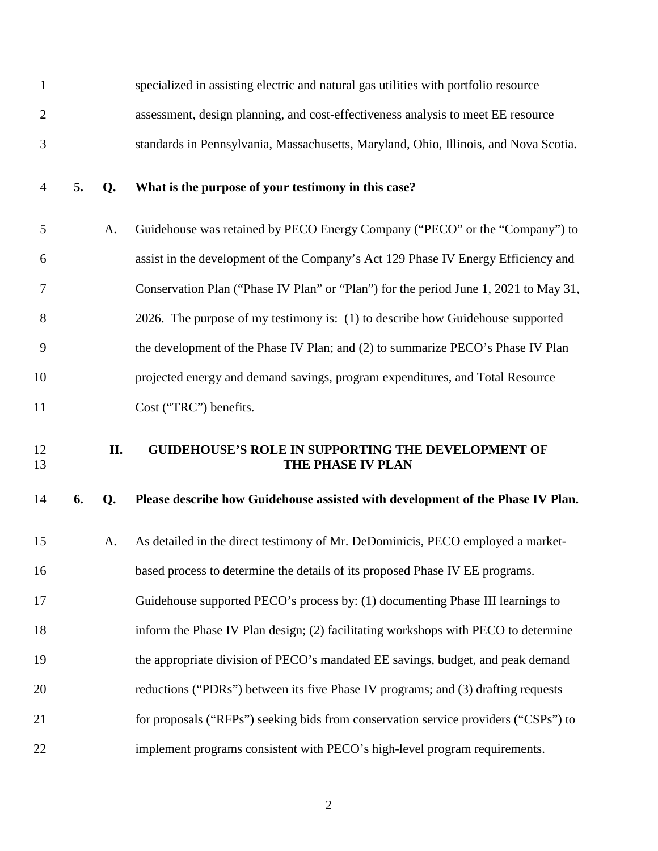| $\mathbf{1}$   |    |     | specialized in assisting electric and natural gas utilities with portfolio resource  |
|----------------|----|-----|--------------------------------------------------------------------------------------|
| $\overline{2}$ |    |     | assessment, design planning, and cost-effectiveness analysis to meet EE resource     |
| 3              |    |     | standards in Pennsylvania, Massachusetts, Maryland, Ohio, Illinois, and Nova Scotia. |
| $\overline{4}$ | 5. | Q.  | What is the purpose of your testimony in this case?                                  |
| 5              |    | A.  | Guidehouse was retained by PECO Energy Company ("PECO" or the "Company") to          |
| 6              |    |     | assist in the development of the Company's Act 129 Phase IV Energy Efficiency and    |
| 7              |    |     | Conservation Plan ("Phase IV Plan" or "Plan") for the period June 1, 2021 to May 31, |
| 8              |    |     | 2026. The purpose of my testimony is: (1) to describe how Guidehouse supported       |
| 9              |    |     | the development of the Phase IV Plan; and (2) to summarize PECO's Phase IV Plan      |
| 10             |    |     | projected energy and demand savings, program expenditures, and Total Resource        |
| 11             |    |     | Cost ("TRC") benefits.                                                               |
|                |    |     |                                                                                      |
| 12<br>13       |    | II. | <b>GUIDEHOUSE'S ROLE IN SUPPORTING THE DEVELOPMENT OF</b><br>THE PHASE IV PLAN       |
| 14             | 6. | Q.  | Please describe how Guidehouse assisted with development of the Phase IV Plan.       |
| 15             |    | A.  | As detailed in the direct testimony of Mr. DeDominicis, PECO employed a market-      |
| 16             |    |     | based process to determine the details of its proposed Phase IV EE programs.         |
| 17             |    |     | Guidehouse supported PECO's process by: (1) documenting Phase III learnings to       |
| 18             |    |     | inform the Phase IV Plan design; (2) facilitating workshops with PECO to determine   |
| 19             |    |     | the appropriate division of PECO's mandated EE savings, budget, and peak demand      |
| 20             |    |     | reductions ("PDRs") between its five Phase IV programs; and (3) drafting requests    |
| 21             |    |     | for proposals ("RFPs") seeking bids from conservation service providers ("CSPs") to  |

2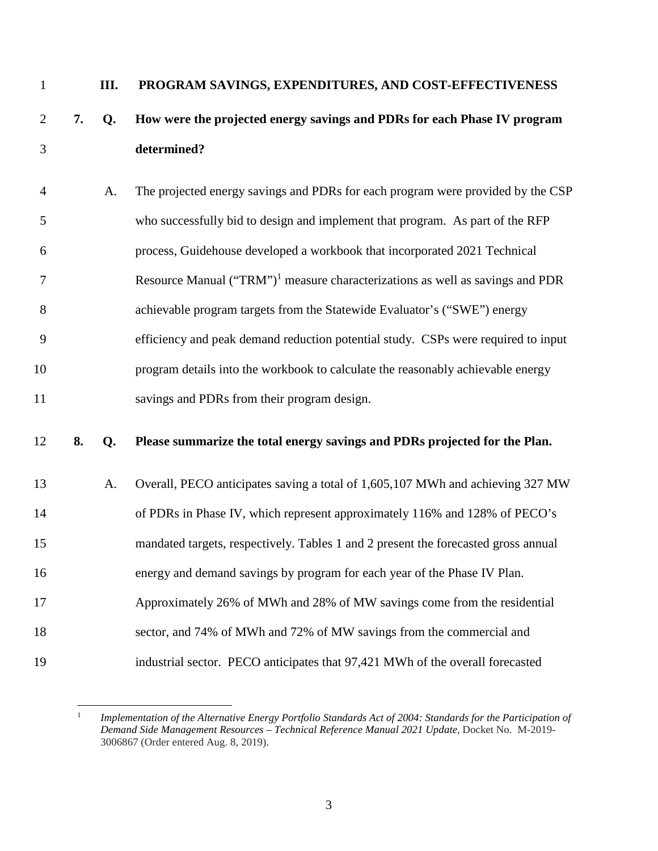1 **III. PROGRAM SAVINGS, EXPENDITURES, AND COST-EFFECTIVENESS** 

# 2 **7. Q. How were the projected energy savings and PDRs for each Phase IV program**  3 **determined?**

4 A. The projected energy savings and PDRs for each program were provided by the CSP 5 who successfully bid to design and implement that program. As part of the RFP 6 process, Guidehouse developed a workbook that incorporated 2021 Technical 7 Resource Manual ("TRM")<sup>1</sup> measure characterizations as well as savings and PDR 8 achievable program targets from the Statewide Evaluator's ("SWE") energy 9 efficiency and peak demand reduction potential study. CSPs were required to input 10 program details into the workbook to calculate the reasonably achievable energy 11 savings and PDRs from their program design.

### 12 **8. Q. Please summarize the total energy savings and PDRs projected for the Plan.**

13 A. Overall, PECO anticipates saving a total of 1,605,107 MWh and achieving 327 MW 14 of PDRs in Phase IV, which represent approximately 116% and 128% of PECO's 15 mandated targets, respectively. Tables 1 and 2 present the forecasted gross annual 16 energy and demand savings by program for each year of the Phase IV Plan. 17 Approximately 26% of MWh and 28% of MW savings come from the residential 18 sector, and 74% of MWh and 72% of MW savings from the commercial and 19 industrial sector. PECO anticipates that 97,421 MWh of the overall forecasted

<sup>1</sup> *Implementation of the Alternative Energy Portfolio Standards Act of 2004: Standards for the Participation of Demand Side Management Resources – Technical Reference Manual 2021 Update*, Docket No. M-2019- 3006867 (Order entered Aug. 8, 2019).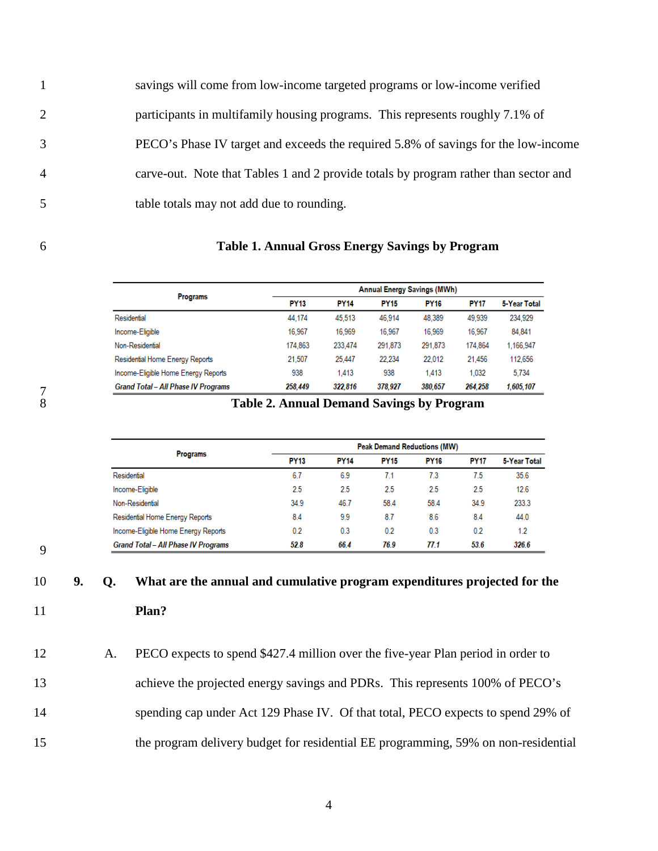1 savings will come from low-income targeted programs or low-income verified 2 participants in multifamily housing programs. This represents roughly 7.1% of 3 PECO's Phase IV target and exceeds the required 5.8% of savings for the low-income 4 carve-out. Note that Tables 1 and 2 provide totals by program rather than sector and 5 table totals may not add due to rounding.

#### 6 **Table 1. Annual Gross Energy Savings by Program**

|                                            |             | <b>Annual Energy Savings (MWh)</b> |             |             |             |              |
|--------------------------------------------|-------------|------------------------------------|-------------|-------------|-------------|--------------|
| <b>Programs</b>                            | <b>PY13</b> | <b>PY14</b>                        | <b>PY15</b> | <b>PY16</b> | <b>PY17</b> | 5-Year Total |
| Residential                                | 44.174      | 45.513                             | 46.914      | 48.389      | 49,939      | 234,929      |
| Income-Eligible                            | 16.967      | 16.969                             | 16,967      | 16,969      | 16,967      | 84,841       |
| Non-Residential                            | 174,863     | 233.474                            | 291,873     | 291,873     | 174,864     | 1.166.947    |
| Residential Home Energy Reports            | 21.507      | 25,447                             | 22.234      | 22.012      | 21.456      | 112,656      |
| Income-Eligible Home Energy Reports        | 938         | 1.413                              | 938         | 1,413       | 1.032       | 5.734        |
| <b>Grand Total - All Phase IV Programs</b> | 258,449     | 322,816                            | 378,927     | 380,657     | 264,258     | 1,605,107    |

### 8 **Table 2. Annual Demand Savings by Program**

|                                            |             | <b>Peak Demand Reductions (MW)</b> |             |             |             |              |  |  |
|--------------------------------------------|-------------|------------------------------------|-------------|-------------|-------------|--------------|--|--|
| <b>Programs</b>                            | <b>PY13</b> | <b>PY14</b>                        | <b>PY15</b> | <b>PY16</b> | <b>PY17</b> | 5-Year Total |  |  |
| Residential                                | 6.7         | 6.9                                | 7.1         | 7.3         | 7.5         | 35.6         |  |  |
| Income-Eligible                            | 2.5         | 2.5                                | 2.5         | 2.5         | 2.5         | 12.6         |  |  |
| Non-Residential                            | 34.9        | 46.7                               | 58.4        | 58.4        | 34.9        | 233.3        |  |  |
| Residential Home Energy Reports            | 8.4         | 9.9                                | 8.7         | 8.6         | 8.4         | 44.0         |  |  |
| Income-Eligible Home Energy Reports        | 0.2         | 0.3                                | 0.2         | 0.3         | 0.2         | 1.2          |  |  |
| <b>Grand Total - All Phase IV Programs</b> | 52.8        | 66.4                               | 76.9        | 77.1        | 53.6        | 326.6        |  |  |

9

# 10 **9. Q. What are the annual and cumulative program expenditures projected for the**  11 **Plan?**

12 A. PECO expects to spend \$427.4 million over the five-year Plan period in order to 13 achieve the projected energy savings and PDRs. This represents 100% of PECO's 14 spending cap under Act 129 Phase IV. Of that total, PECO expects to spend 29% of 15 the program delivery budget for residential EE programming, 59% on non-residential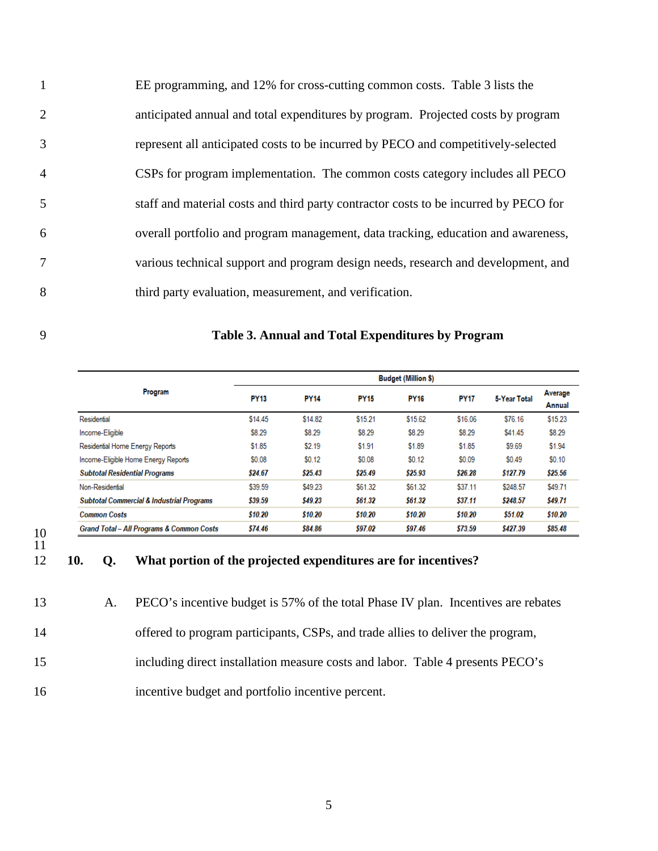1 EE programming, and 12% for cross-cutting common costs. Table 3 lists the 2 anticipated annual and total expenditures by program. Projected costs by program 3 represent all anticipated costs to be incurred by PECO and competitively-selected 4 CSPs for program implementation. The common costs category includes all PECO 5 staff and material costs and third party contractor costs to be incurred by PECO for 6 overall portfolio and program management, data tracking, education and awareness, 7 various technical support and program design needs, research and development, and 8 third party evaluation, measurement, and verification.

| Table 3. Annual and Total Expenditures by Program |
|---------------------------------------------------|
|                                                   |

|                                                      | <b>Budget (Million \$)</b> |             |             |             |             |              |                          |  |
|------------------------------------------------------|----------------------------|-------------|-------------|-------------|-------------|--------------|--------------------------|--|
| Program                                              | <b>PY13</b>                | <b>PY14</b> | <b>PY15</b> | <b>PY16</b> | <b>PY17</b> | 5-Year Total | Average<br><b>Annual</b> |  |
| Residential                                          | \$14.45                    | \$14.82     | \$15.21     | \$15.62     | \$16.06     | \$76.16      | \$15.23                  |  |
| Income-Eligible                                      | \$8.29                     | \$8.29      | \$8.29      | \$8.29      | \$8.29      | \$41.45      | \$8.29                   |  |
| Residential Home Energy Reports                      | \$1.85                     | \$2.19      | \$1.91      | \$1.89      | \$1.85      | \$9.69       | \$1.94                   |  |
| Income-Eligible Home Energy Reports                  | \$0.08                     | \$0.12      | \$0.08      | \$0.12      | \$0.09      | \$0.49       | \$0.10                   |  |
| <b>Subtotal Residential Programs</b>                 | \$24.67                    | \$25.43     | \$25.49     | \$25.93     | \$26.28     | \$127.79     | \$25.56                  |  |
| Non-Residential                                      | \$39.59                    | \$49.23     | \$61.32     | \$61.32     | \$37.11     | \$248.57     | \$49.71                  |  |
| <b>Subtotal Commercial &amp; Industrial Programs</b> | \$39.59                    | \$49.23     | \$61.32     | \$61.32     | \$37.11     | \$248.57     | \$49.71                  |  |
| <b>Common Costs</b>                                  | \$10.20                    | \$10.20     | \$10.20     | \$10.20     | \$10.20     | \$51.02      | \$10.20                  |  |
| <b>Grand Total - All Programs &amp; Common Costs</b> | \$74.46                    | \$84.86     | \$97.02     | \$97.46     | \$73.59     | \$427.39     | \$85.48                  |  |

10 11

### 12 **10. Q. What portion of the projected expenditures are for incentives?**

13 A. PECO's incentive budget is 57% of the total Phase IV plan. Incentives are rebates 14 offered to program participants, CSPs, and trade allies to deliver the program, 15 including direct installation measure costs and labor. Table 4 presents PECO's

16 incentive budget and portfolio incentive percent.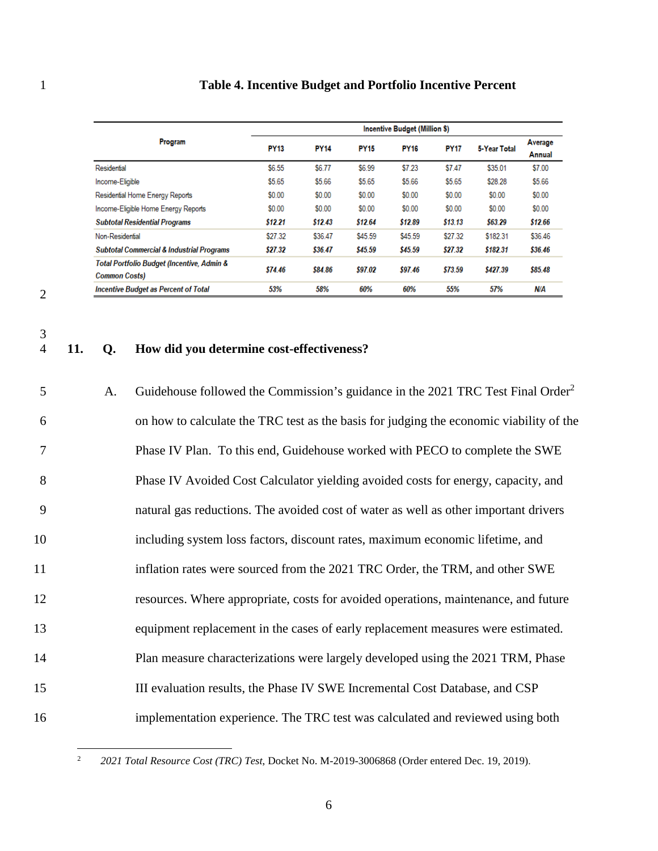| Table 4. Incentive Budget and Portfolio Incentive Percent |  |
|-----------------------------------------------------------|--|
|-----------------------------------------------------------|--|

|                                                                               |             | <b>Incentive Budget (Million \$)</b> |             |             |             |              |                          |  |  |
|-------------------------------------------------------------------------------|-------------|--------------------------------------|-------------|-------------|-------------|--------------|--------------------------|--|--|
| Program                                                                       | <b>PY13</b> | <b>PY14</b>                          | <b>PY15</b> | <b>PY16</b> | <b>PY17</b> | 5-Year Total | Average<br><b>Annual</b> |  |  |
| Residential                                                                   | \$6.55      | \$6.77                               | \$6.99      | \$7.23      | \$7.47      | \$35.01      | \$7.00                   |  |  |
| Income-Eligible                                                               | \$5.65      | \$5.66                               | \$5.65      | \$5.66      | \$5.65      | \$28.28      | \$5.66                   |  |  |
| Residential Home Energy Reports                                               | \$0.00      | \$0.00                               | \$0.00      | \$0.00      | \$0.00      | \$0.00       | \$0.00                   |  |  |
| Income-Eligible Home Energy Reports                                           | \$0.00      | \$0.00                               | \$0.00      | \$0.00      | \$0.00      | \$0.00       | \$0.00                   |  |  |
| <b>Subtotal Residential Programs</b>                                          | \$12.21     | \$12.43                              | \$12.64     | \$12.89     | \$13.13     | \$63.29      | \$12.66                  |  |  |
| Non-Residential                                                               | \$27.32     | \$36.47                              | \$45.59     | \$45.59     | \$27.32     | \$182.31     | \$36.46                  |  |  |
| <b>Subtotal Commercial &amp; Industrial Programs</b>                          | \$27.32     | \$36.47                              | \$45.59     | \$45.59     | \$27.32     | \$182.31     | \$36.46                  |  |  |
| <b>Total Portfolio Budget (Incentive, Admin &amp;</b><br><b>Common Costs)</b> | \$74.46     | \$84.86                              | \$97.02     | \$97.46     | \$73.59     | \$427.39     | \$85.48                  |  |  |
| <b>Incentive Budget as Percent of Total</b>                                   | 53%         | 58%                                  | 60%         | 60%         | 55%         | 57%          | N/A                      |  |  |

2

 $\frac{3}{4}$ 

# 4 **11. Q. How did you determine cost-effectiveness?**

| 5  | A. | Guidehouse followed the Commission's guidance in the 2021 TRC Test Final Order <sup>2</sup> |
|----|----|---------------------------------------------------------------------------------------------|
| 6  |    | on how to calculate the TRC test as the basis for judging the economic viability of the     |
| 7  |    | Phase IV Plan. To this end, Guidehouse worked with PECO to complete the SWE                 |
| 8  |    | Phase IV Avoided Cost Calculator yielding avoided costs for energy, capacity, and           |
| 9  |    | natural gas reductions. The avoided cost of water as well as other important drivers        |
| 10 |    | including system loss factors, discount rates, maximum economic lifetime, and               |
| 11 |    | inflation rates were sourced from the 2021 TRC Order, the TRM, and other SWE                |
| 12 |    | resources. Where appropriate, costs for avoided operations, maintenance, and future         |
| 13 |    | equipment replacement in the cases of early replacement measures were estimated.            |
| 14 |    | Plan measure characterizations were largely developed using the 2021 TRM, Phase             |
| 15 |    | III evaluation results, the Phase IV SWE Incremental Cost Database, and CSP                 |
| 16 |    | implementation experience. The TRC test was calculated and reviewed using both              |

<sup>2</sup> *2021 Total Resource Cost (TRC) Test*, Docket No. M-2019-3006868 (Order entered Dec. 19, 2019).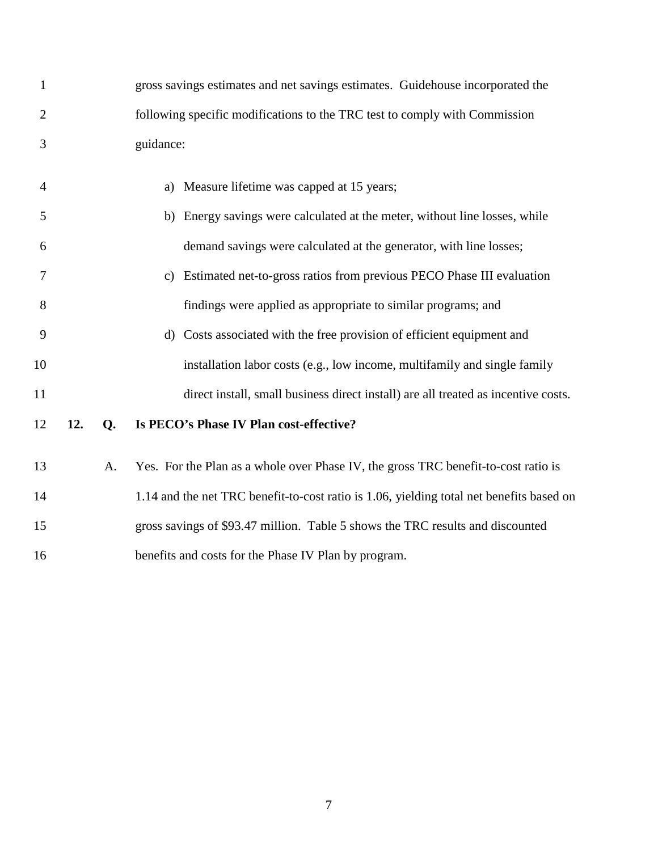| $\mathbf{1}$   |     |    | gross savings estimates and net savings estimates. Guidehouse incorporated the           |
|----------------|-----|----|------------------------------------------------------------------------------------------|
| $\overline{2}$ |     |    | following specific modifications to the TRC test to comply with Commission               |
| 3              |     |    | guidance:                                                                                |
| $\overline{4}$ |     |    | Measure lifetime was capped at 15 years;<br>a)                                           |
| 5              |     |    | b) Energy savings were calculated at the meter, without line losses, while               |
| 6              |     |    | demand savings were calculated at the generator, with line losses;                       |
| 7              |     |    | Estimated net-to-gross ratios from previous PECO Phase III evaluation<br>c)              |
| 8              |     |    | findings were applied as appropriate to similar programs; and                            |
| 9              |     |    | Costs associated with the free provision of efficient equipment and<br>$\rm d$           |
| 10             |     |    | installation labor costs (e.g., low income, multifamily and single family                |
| 11             |     |    | direct install, small business direct install) are all treated as incentive costs.       |
| 12             | 12. | Q. | Is PECO's Phase IV Plan cost-effective?                                                  |
| 13             |     | A. | Yes. For the Plan as a whole over Phase IV, the gross TRC benefit-to-cost ratio is       |
| 14             |     |    | 1.14 and the net TRC benefit-to-cost ratio is 1.06, yielding total net benefits based on |
| 15             |     |    | gross savings of \$93.47 million. Table 5 shows the TRC results and discounted           |
| 16             |     |    | benefits and costs for the Phase IV Plan by program.                                     |